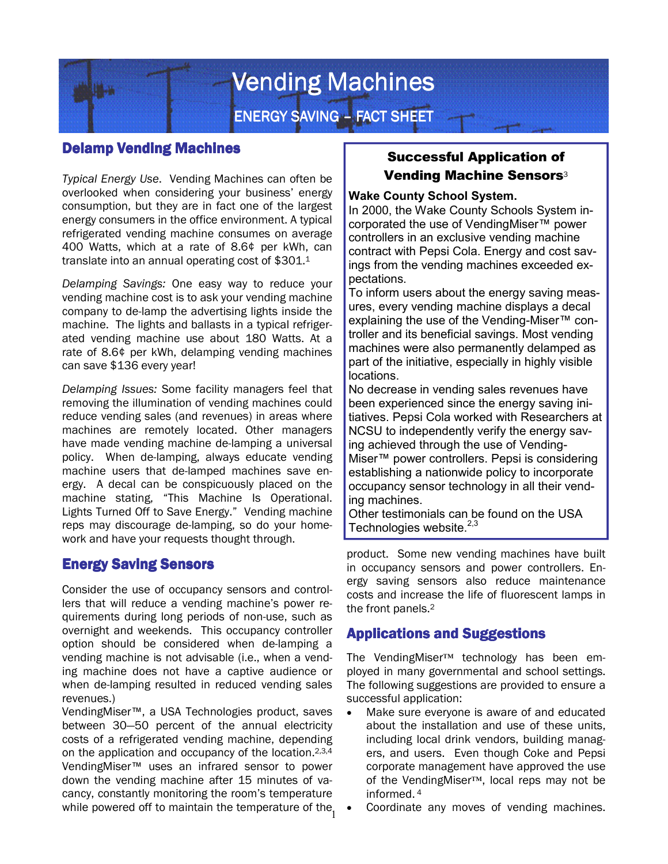

## **Delamp Vending Machines**

*Typical Energy Use*. Vending Machines can often be overlooked when considering your business' energy consumption, but they are in fact one of the largest energy consumers in the office environment. A typical refrigerated vending machine consumes on average 400 Watts, which at a rate of 8.6¢ per kWh, can translate into an annual operating cost of \$301.<sup>1</sup>

*Delamping Savings:* One easy way to reduce your vending machine cost is to ask your vending machine company to de-lamp the advertising lights inside the machine. The lights and ballasts in a typical refrigerated vending machine use about 180 Watts. At a rate of 8.6¢ per kWh, delamping vending machines can save \$136 every year!

*Delamping Issues:* Some facility managers feel that removing the illumination of vending machines could reduce vending sales (and revenues) in areas where machines are remotely located. Other managers have made vending machine de-lamping a universal policy. When de-lamping, always educate vending machine users that de-lamped machines save energy. A decal can be conspicuously placed on the machine stating, "This Machine Is Operational. Lights Turned Off to Save Energy." Vending machine reps may discourage de-lamping, so do your homework and have your requests thought through.

### Energy Saving Sensors

Consider the use of occupancy sensors and controllers that will reduce a vending machine's power requirements during long periods of non-use, such as overnight and weekends. This occupancy controller option should be considered when de-lamping a vending machine is not advisable (i.e., when a vending machine does not have a captive audience or when de-lamping resulted in reduced vending sales revenues.)

while powered off to maintain the temperature of the<sub>1</sub> VendingMiser™, a USA Technologies product, saves between 30—50 percent of the annual electricity costs of a refrigerated vending machine, depending on the application and occupancy of the location.2,3,4 VendingMiser™ uses an infrared sensor to power down the vending machine after 15 minutes of vacancy, constantly monitoring the room's temperature

# Successful Application of Vending Machine Sensors<sup>3</sup>

#### **Wake County School System.**

In 2000, the Wake County Schools System incorporated the use of VendingMiser™ power controllers in an exclusive vending machine contract with Pepsi Cola. Energy and cost savings from the vending machines exceeded expectations.

To inform users about the energy saving measures, every vending machine displays a decal explaining the use of the Vending-Miser™ controller and its beneficial savings. Most vending machines were also permanently delamped as part of the initiative, especially in highly visible locations.

No decrease in vending sales revenues have been experienced since the energy saving initiatives. Pepsi Cola worked with Researchers at NCSU to independently verify the energy saving achieved through the use of Vending-Miser™ power controllers. Pepsi is considering establishing a nationwide policy to incorporate occupancy sensor technology in all their vending machines.

Other testimonials can be found on the USA Technologies website. $2,3$ 

product. Some new vending machines have built in occupancy sensors and power controllers. Energy saving sensors also reduce maintenance costs and increase the life of fluorescent lamps in the front panels.<sup>2</sup>

# Applications and Suggestions

The VendingMiser™ technology has been employed in many governmental and school settings. The following suggestions are provided to ensure a successful application:

- Make sure everyone is aware of and educated about the installation and use of these units, including local drink vendors, building managers, and users. Even though Coke and Pepsi corporate management have approved the use of the VendingMiser™, local reps may not be informed.<sup>4</sup>
- Coordinate any moves of vending machines.